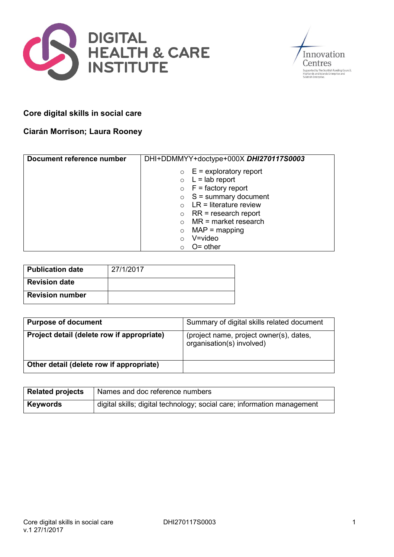



# **Core digital skills in social care**

# **Ciarán Morrison; Laura Rooney**

| Document reference number | DHI+DDMMYY+doctype+000X DHI270117S0003 |
|---------------------------|----------------------------------------|
|                           | $\circ$ E = exploratory report         |
|                           | $\circ$ L = lab report                 |
|                           | $\circ$ F = factory report             |
|                           | $\circ$ S = summary document           |
|                           | $LR =$ literature review               |
|                           | $RR = research report$<br>$\circ$      |
|                           | $MR = market research$                 |
|                           | $MAP = mapping$<br>$\circ$             |
|                           | $V = video$                            |
|                           | $O =$ other                            |

| Publication date       | 27/1/2017 |
|------------------------|-----------|
| <b>Revision date</b>   |           |
| <b>Revision number</b> |           |

| <b>Purpose of document</b>                 | Summary of digital skills related document                           |
|--------------------------------------------|----------------------------------------------------------------------|
| Project detail (delete row if appropriate) | (project name, project owner(s), dates,<br>organisation(s) involved) |
| Other detail (delete row if appropriate)   |                                                                      |

| <b>Related projects</b> | Names and doc reference numbers                                         |
|-------------------------|-------------------------------------------------------------------------|
| <b>Keywords</b>         | digital skills; digital technology; social care; information management |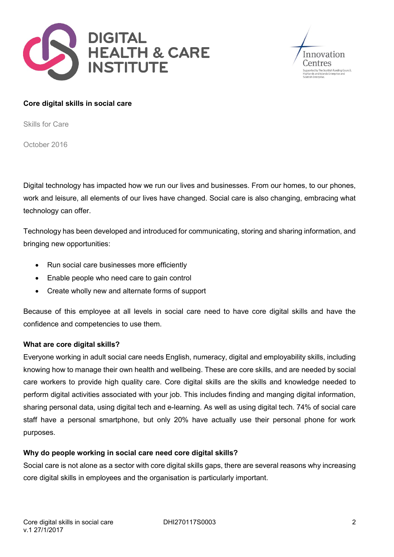



#### **Core digital skills in social care**

Skills for Care

October 2016

Digital technology has impacted how we run our lives and businesses. From our homes, to our phones, work and leisure, all elements of our lives have changed. Social care is also changing, embracing what technology can offer.

Technology has been developed and introduced for communicating, storing and sharing information, and bringing new opportunities:

- Run social care businesses more efficiently
- Enable people who need care to gain control
- Create wholly new and alternate forms of support

Because of this employee at all levels in social care need to have core digital skills and have the confidence and competencies to use them.

#### **What are core digital skills?**

Everyone working in adult social care needs English, numeracy, digital and employability skills, including knowing how to manage their own health and wellbeing. These are core skills, and are needed by social care workers to provide high quality care. Core digital skills are the skills and knowledge needed to perform digital activities associated with your job. This includes finding and manging digital information, sharing personal data, using digital tech and e-learning. As well as using digital tech. 74% of social care staff have a personal smartphone, but only 20% have actually use their personal phone for work purposes.

### **Why do people working in social care need core digital skills?**

Social care is not alone as a sector with core digital skills gaps, there are several reasons why increasing core digital skills in employees and the organisation is particularly important.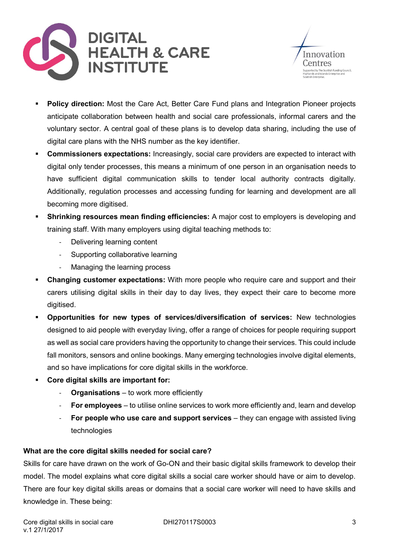



- **Policy direction:** Most the Care Act, Better Care Fund plans and Integration Pioneer projects anticipate collaboration between health and social care professionals, informal carers and the voluntary sector. A central goal of these plans is to develop data sharing, including the use of digital care plans with the NHS number as the key identifier.
- **Commissioners expectations:** Increasingly, social care providers are expected to interact with digital only tender processes, this means a minimum of one person in an organisation needs to have sufficient digital communication skills to tender local authority contracts digitally. Additionally, regulation processes and accessing funding for learning and development are all becoming more digitised.
- **Shrinking resources mean finding efficiencies:** A major cost to employers is developing and training staff. With many employers using digital teaching methods to:
	- Delivering learning content
	- Supporting collaborative learning
	- Managing the learning process
- **Changing customer expectations:** With more people who require care and support and their carers utilising digital skills in their day to day lives, they expect their care to become more digitised.
- **Opportunities for new types of services/diversification of services:** New technologies designed to aid people with everyday living, offer a range of choices for people requiring support as well as social care providers having the opportunity to change their services. This could include fall monitors, sensors and online bookings. Many emerging technologies involve digital elements, and so have implications for core digital skills in the workforce.
- **Core digital skills are important for:**
	- **Organisations** to work more efficiently
	- **For employees** to utilise online services to work more efficiently and, learn and develop
	- **For people who use care and support services** they can engage with assisted living technologies

# **What are the core digital skills needed for social care?**

Skills for care have drawn on the work of Go-ON and their basic digital skills framework to develop their model. The model explains what core digital skills a social care worker should have or aim to develop. There are four key digital skills areas or domains that a social care worker will need to have skills and knowledge in. These being: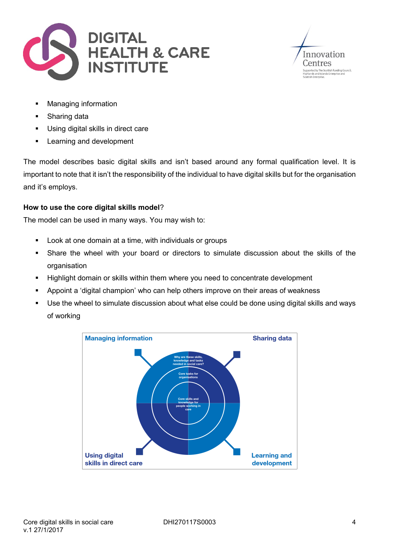



- Managing information
- Sharing data
- **Using digital skills in direct care**
- Learning and development

The model describes basic digital skills and isn't based around any formal qualification level. It is important to note that it isn't the responsibility of the individual to have digital skills but for the organisation and it's employs.

# **How to use the core digital skills model**?

The model can be used in many ways. You may wish to:

- **Look at one domain at a time, with individuals or groups**
- Share the wheel with your board or directors to simulate discussion about the skills of the organisation
- **Highlight domain or skills within them where you need to concentrate development**
- Appoint a 'digital champion' who can help others improve on their areas of weakness
- Use the wheel to simulate discussion about what else could be done using digital skills and ways of working

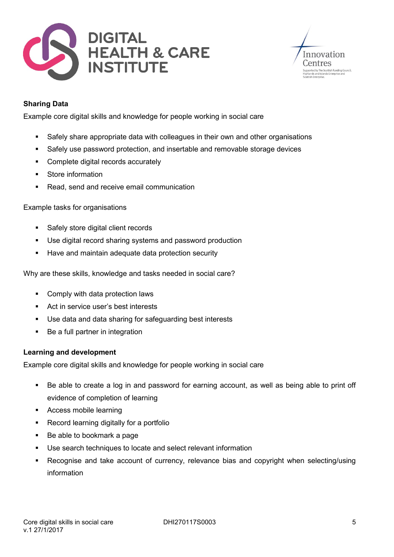



# **Sharing Data**

Example core digital skills and knowledge for people working in social care

- Safely share appropriate data with colleagues in their own and other organisations
- Safely use password protection, and insertable and removable storage devices
- Complete digital records accurately
- Store information
- Read, send and receive email communication

### Example tasks for organisations

- **Safely store digital client records**
- Use digital record sharing systems and password production
- Have and maintain adequate data protection security

Why are these skills, knowledge and tasks needed in social care?

- Comply with data protection laws
- Act in service user's best interests
- Use data and data sharing for safeguarding best interests
- Be a full partner in integration

### **Learning and development**

Example core digital skills and knowledge for people working in social care

- Be able to create a log in and password for earning account, as well as being able to print off evidence of completion of learning
- Access mobile learning
- **Record learning digitally for a portfolio**
- Be able to bookmark a page
- Use search techniques to locate and select relevant information
- Recognise and take account of currency, relevance bias and copyright when selecting/using information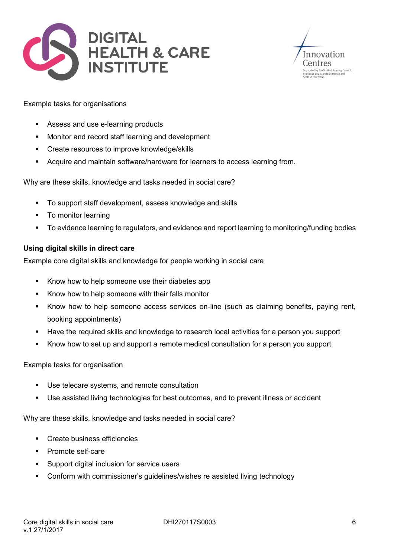



### Example tasks for organisations

- Assess and use e-learning products
- **Monitor and record staff learning and development**
- **EXECTE Create resources to improve knowledge/skills**
- Acquire and maintain software/hardware for learners to access learning from.

Why are these skills, knowledge and tasks needed in social care?

- To support staff development, assess knowledge and skills
- To monitor learning
- To evidence learning to regulators, and evidence and report learning to monitoring/funding bodies

# **Using digital skills in direct care**

Example core digital skills and knowledge for people working in social care

- Know how to help someone use their diabetes app
- Know how to help someone with their falls monitor
- Know how to help someone access services on-line (such as claiming benefits, paying rent, booking appointments)
- Have the required skills and knowledge to research local activities for a person you support
- Know how to set up and support a remote medical consultation for a person you support

### Example tasks for organisation

- Use telecare systems, and remote consultation
- Use assisted living technologies for best outcomes, and to prevent illness or accident

Why are these skills, knowledge and tasks needed in social care?

- Create business efficiencies
- Promote self-care
- **Support digital inclusion for service users**
- Conform with commissioner's guidelines/wishes re assisted living technology